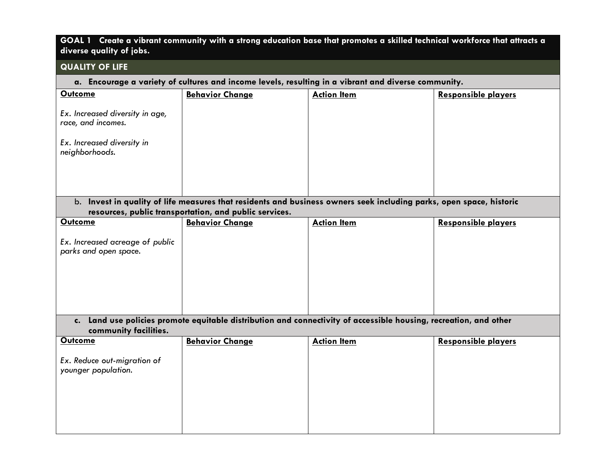| GOAL 1 Create a vibrant community with a strong education base that promotes a skilled technical workforce that attracts a |
|----------------------------------------------------------------------------------------------------------------------------|
| diverse quality of jobs.                                                                                                   |

## **QUALITY OF LIFE**

## **a. Encourage a variety of cultures and income levels, resulting in a vibrant and diverse community.**

| <b>Outcome</b>                               | <b>Behavior Change</b>                                 | <b>Action Item</b>                                                                                                  | <b>Responsible players</b> |
|----------------------------------------------|--------------------------------------------------------|---------------------------------------------------------------------------------------------------------------------|----------------------------|
| Ex. Increased diversity in age,              |                                                        |                                                                                                                     |                            |
| race, and incomes.                           |                                                        |                                                                                                                     |                            |
| Ex. Increased diversity in<br>neighborhoods. |                                                        |                                                                                                                     |                            |
|                                              |                                                        |                                                                                                                     |                            |
|                                              |                                                        | b. Invest in quality of life measures that residents and business owners seek including parks, open space, historic |                            |
|                                              | resources, public transportation, and public services. |                                                                                                                     |                            |
| Outcome                                      | <b>Behavior Change</b>                                 | <b>Action Item</b>                                                                                                  | <b>Responsible players</b> |
| Ex. Increased acreage of public              |                                                        |                                                                                                                     |                            |
| parks and open space.                        |                                                        |                                                                                                                     |                            |
|                                              |                                                        |                                                                                                                     |                            |
|                                              |                                                        |                                                                                                                     |                            |
|                                              |                                                        |                                                                                                                     |                            |
|                                              |                                                        |                                                                                                                     |                            |
|                                              |                                                        |                                                                                                                     |                            |
|                                              |                                                        | c. Land use policies promote equitable distribution and connectivity of accessible housing, recreation, and other   |                            |
| community facilities.<br><b>Outcome</b>      |                                                        |                                                                                                                     |                            |
|                                              | <b>Behavior Change</b>                                 | <b>Action Item</b>                                                                                                  | <b>Responsible players</b> |
| Ex. Reduce out-migration of                  |                                                        |                                                                                                                     |                            |
| younger population.                          |                                                        |                                                                                                                     |                            |
|                                              |                                                        |                                                                                                                     |                            |
|                                              |                                                        |                                                                                                                     |                            |
|                                              |                                                        |                                                                                                                     |                            |
|                                              |                                                        |                                                                                                                     |                            |
|                                              |                                                        |                                                                                                                     |                            |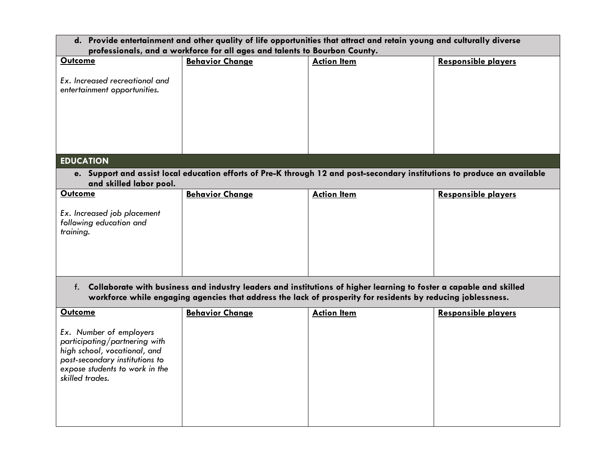| d. Provide entertainment and other quality of life opportunities that attract and retain young and culturally diverse                                                                                                                 |                        |                                                                                                                           |                            |  |  |  |  |
|---------------------------------------------------------------------------------------------------------------------------------------------------------------------------------------------------------------------------------------|------------------------|---------------------------------------------------------------------------------------------------------------------------|----------------------------|--|--|--|--|
| professionals, and a workforce for all ages and talents to Bourbon County.                                                                                                                                                            |                        |                                                                                                                           |                            |  |  |  |  |
| <b>Outcome</b>                                                                                                                                                                                                                        | <b>Behavior Change</b> | <b>Action Item</b>                                                                                                        | <b>Responsible players</b> |  |  |  |  |
| Ex. Increased recreational and<br>entertainment opportunities.                                                                                                                                                                        |                        |                                                                                                                           |                            |  |  |  |  |
| <b>EDUCATION</b>                                                                                                                                                                                                                      |                        |                                                                                                                           |                            |  |  |  |  |
|                                                                                                                                                                                                                                       |                        | e. Support and assist local education efforts of Pre-K through 12 and post-secondary institutions to produce an available |                            |  |  |  |  |
| and skilled labor pool.                                                                                                                                                                                                               |                        |                                                                                                                           |                            |  |  |  |  |
| <b>Outcome</b>                                                                                                                                                                                                                        | <b>Behavior Change</b> | <b>Action Item</b>                                                                                                        | <b>Responsible players</b> |  |  |  |  |
|                                                                                                                                                                                                                                       |                        |                                                                                                                           |                            |  |  |  |  |
| Ex. Increased job placement<br>following education and<br>training.                                                                                                                                                                   |                        |                                                                                                                           |                            |  |  |  |  |
| f. Collaborate with business and industry leaders and institutions of higher learning to foster a capable and skilled<br>workforce while engaging agencies that address the lack of prosperity for residents by reducing joblessness. |                        |                                                                                                                           |                            |  |  |  |  |
| <b>Outcome</b>                                                                                                                                                                                                                        | <b>Behavior Change</b> | <b>Action Item</b>                                                                                                        | <b>Responsible players</b> |  |  |  |  |
| Ex. Number of employers<br>participating/partnering with<br>high school, vocational, and<br>post-secondary institutions to<br>expose students to work in the<br>skilled trades.                                                       |                        |                                                                                                                           |                            |  |  |  |  |